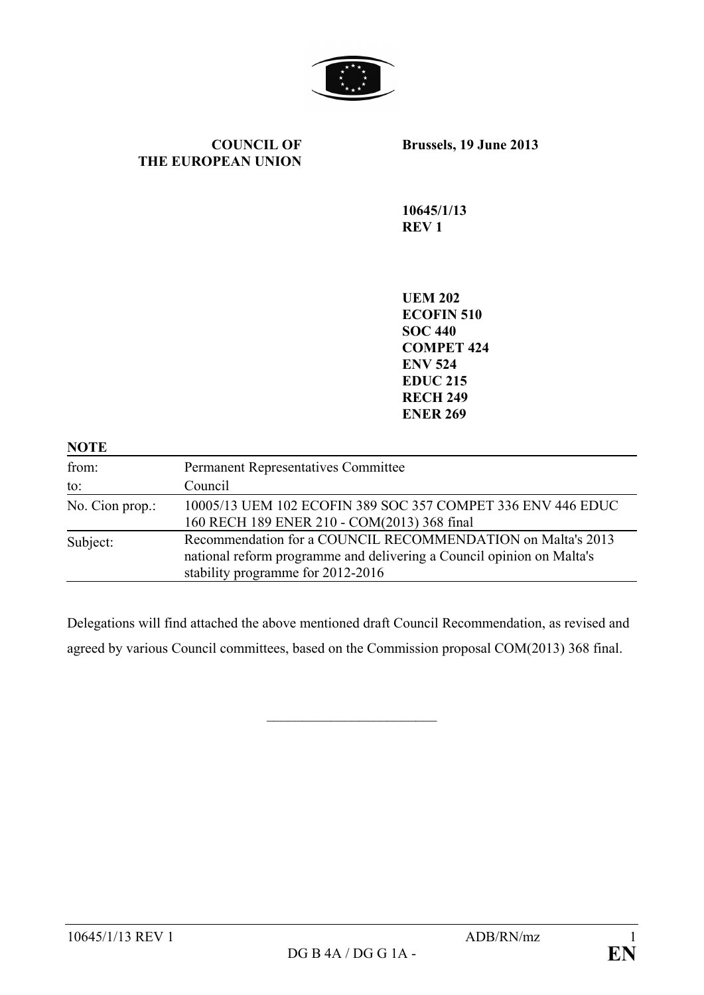

#### **COUNCIL OF THE EUROPEAN UNION**

**Brussels, 19 June 2013**

**10645/1/13 REV 1**

**UEM 202 ECOFIN 510 SOC 440 COMPET 424 ENV 524 EDUC 215 RECH 249 ENER 269**

| <b>NOTE</b>     |                                                                                                                                                                           |
|-----------------|---------------------------------------------------------------------------------------------------------------------------------------------------------------------------|
| from:           | <b>Permanent Representatives Committee</b>                                                                                                                                |
| to:             | Council                                                                                                                                                                   |
| No. Cion prop.: | 10005/13 UEM 102 ECOFIN 389 SOC 357 COMPET 336 ENV 446 EDUC<br>160 RECH 189 ENER 210 - COM(2013) 368 final                                                                |
| Subject:        | Recommendation for a COUNCIL RECOMMENDATION on Malta's 2013<br>national reform programme and delivering a Council opinion on Malta's<br>stability programme for 2012-2016 |

Delegations will find attached the above mentioned draft Council Recommendation, as revised and agreed by various Council committees, based on the Commission proposal COM(2013) 368 final.

 $\overline{\phantom{a}}$  , which is a set of the set of the set of the set of the set of the set of the set of the set of the set of the set of the set of the set of the set of the set of the set of the set of the set of the set of th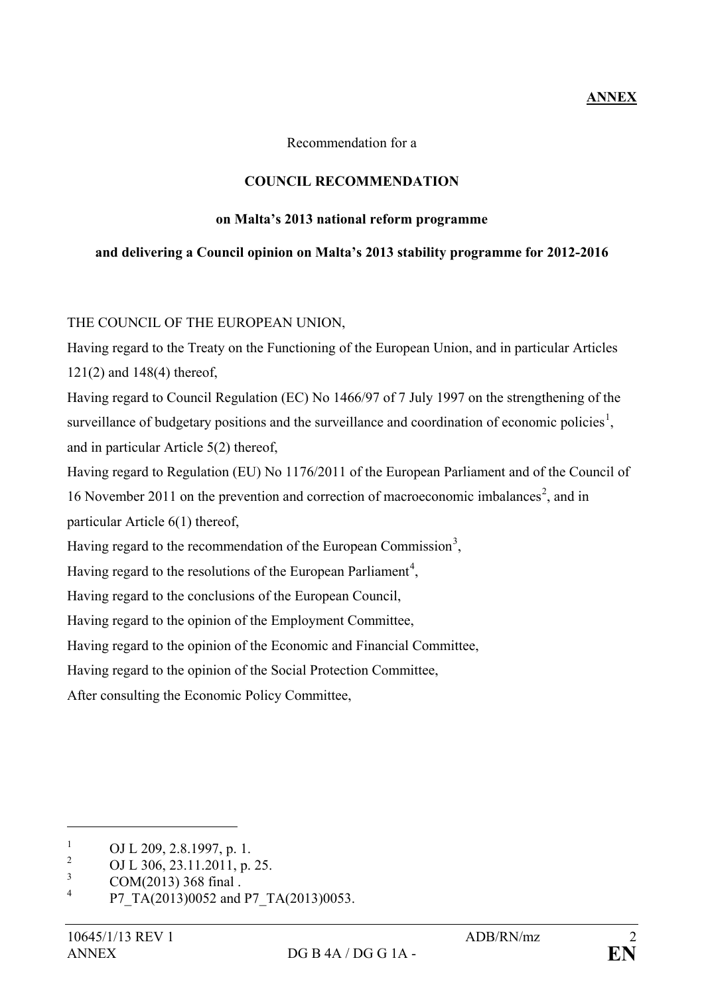# **ANNEX**

Recommendation for a

### **COUNCIL RECOMMENDATION**

#### **on Malta's 2013 national reform programme**

### **and delivering a Council opinion on Malta's 2013 stability programme for 2012-2016**

THE COUNCIL OF THE EUROPEAN UNION,

Having regard to the Treaty on the Functioning of the European Union, and in particular Articles 121(2) and 148(4) thereof,

Having regard to Council Regulation (EC) No 1466/97 of 7 July 1997 on the strengthening of the surveillance of budgetary positions and the surveillance and coordination of economic policies<sup>[1](#page-1-0)</sup>, and in particular Article 5(2) thereof,

Having regard to Regulation (EU) No 1176/2011 of the European Parliament and of the Council of 16 November [2](#page-1-1)011 on the prevention and correction of macroeconomic imbalances<sup>2</sup>, and in particular Article 6(1) thereof,

Having regard to the recommendation of the European Commission<sup>[3](#page-1-2)</sup>,

Having regard to the resolutions of the European Parliament<sup>[4](#page-1-3)</sup>,

Having regard to the conclusions of the European Council,

Having regard to the opinion of the Employment Committee,

Having regard to the opinion of the Economic and Financial Committee,

Having regard to the opinion of the Social Protection Committee,

After consulting the Economic Policy Committee,

<span id="page-1-0"></span><sup>&</sup>lt;sup>1</sup> OJ L 209, 2.8.1997, p. 1.<br><sup>2</sup> OJ L 206, 22, 11, 2011, p.

<span id="page-1-1"></span><sup>&</sup>lt;sup>2</sup> OJ L 306, 23.11.2011, p. 25.

<span id="page-1-2"></span> $\frac{3}{4}$  COM(2013) 368 final .

<span id="page-1-3"></span>P7\_TA(2013)0052 and P7\_TA(2013)0053.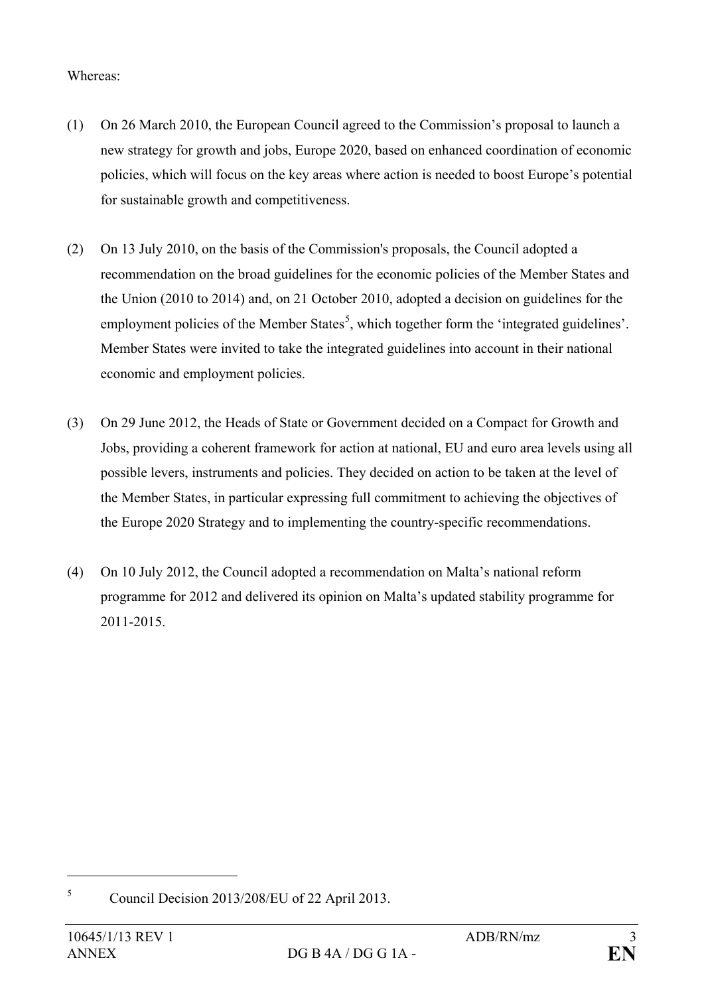## Whereas:

- (1) On 26 March 2010, the European Council agreed to the Commission's proposal to launch a new strategy for growth and jobs, Europe 2020, based on enhanced coordination of economic policies, which will focus on the key areas where action is needed to boost Europe's potential for sustainable growth and competitiveness.
- (2) On 13 July 2010, on the basis of the Commission's proposals, the Council adopted a recommendation on the broad guidelines for the economic policies of the Member States and the Union (2010 to 2014) and, on 21 October 2010, adopted a decision on guidelines for the employment policies of the Member States<sup>[5](#page-2-0)</sup>, which together form the 'integrated guidelines'. Member States were invited to take the integrated guidelines into account in their national economic and employment policies.
- (3) On 29 June 2012, the Heads of State or Government decided on a Compact for Growth and Jobs, providing a coherent framework for action at national, EU and euro area levels using all possible levers, instruments and policies. They decided on action to be taken at the level of the Member States, in particular expressing full commitment to achieving the objectives of the Europe 2020 Strategy and to implementing the country-specific recommendations.
- (4) On 10 July 2012, the Council adopted a recommendation on Malta's national reform programme for 2012 and delivered its opinion on Malta's updated stability programme for 2011-2015.

<span id="page-2-0"></span><sup>5</sup> Council Decision 2013/208/EU of 22 April 2013.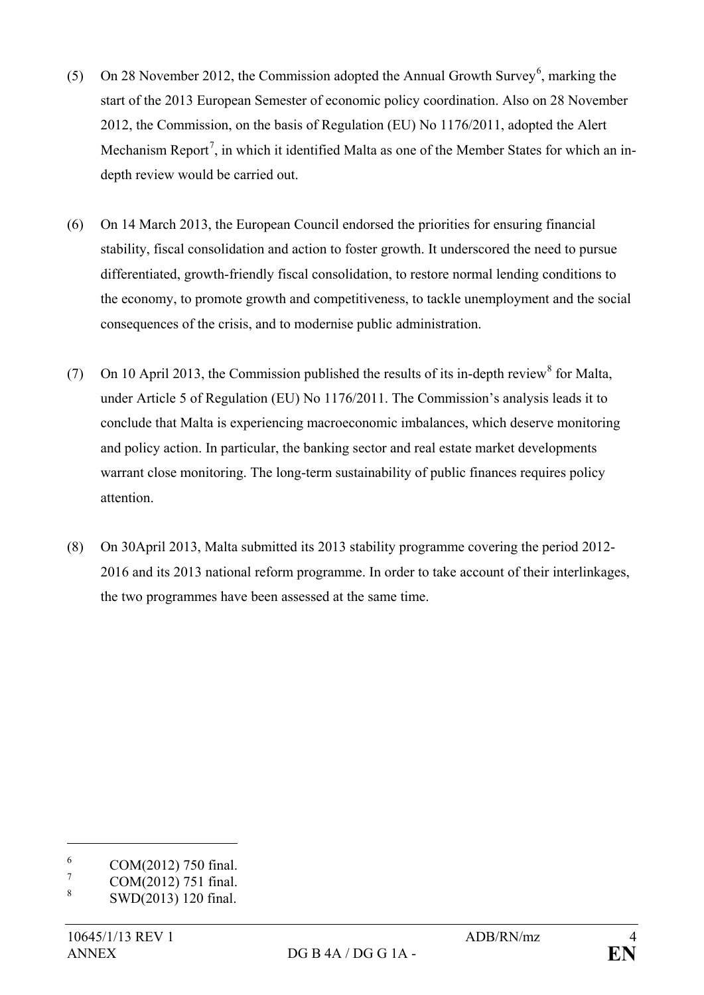- (5) On 28 November 2012, the Commission adopted the Annual Growth Survey<sup>[6](#page-3-0)</sup>, marking the start of the 2013 European Semester of economic policy coordination. Also on 28 November 2012, the Commission, on the basis of Regulation (EU) No 1176/2011, adopted the Alert Mechanism Report<sup>[7](#page-3-1)</sup>, in which it identified Malta as one of the Member States for which an indepth review would be carried out.
- (6) On 14 March 2013, the European Council endorsed the priorities for ensuring financial stability, fiscal consolidation and action to foster growth. It underscored the need to pursue differentiated, growth-friendly fiscal consolidation, to restore normal lending conditions to the economy, to promote growth and competitiveness, to tackle unemployment and the social consequences of the crisis, and to modernise public administration.
- (7) On 10 April 2013, the Commission published the results of its in-depth review  $\delta$  for Malta, under Article 5 of Regulation (EU) No 1176/2011. The Commission's analysis leads it to conclude that Malta is experiencing macroeconomic imbalances, which deserve monitoring and policy action. In particular, the banking sector and real estate market developments warrant close monitoring. The long-term sustainability of public finances requires policy attention.
- (8) On 30April 2013, Malta submitted its 2013 stability programme covering the period 2012- 2016 and its 2013 national reform programme. In order to take account of their interlinkages, the two programmes have been assessed at the same time.

<span id="page-3-0"></span> $^{6}$  COM(2012) 750 final.

<span id="page-3-1"></span> $\frac{7}{8}$  COM(2012) 751 final.

<span id="page-3-2"></span><sup>8</sup> SWD(2013) 120 final.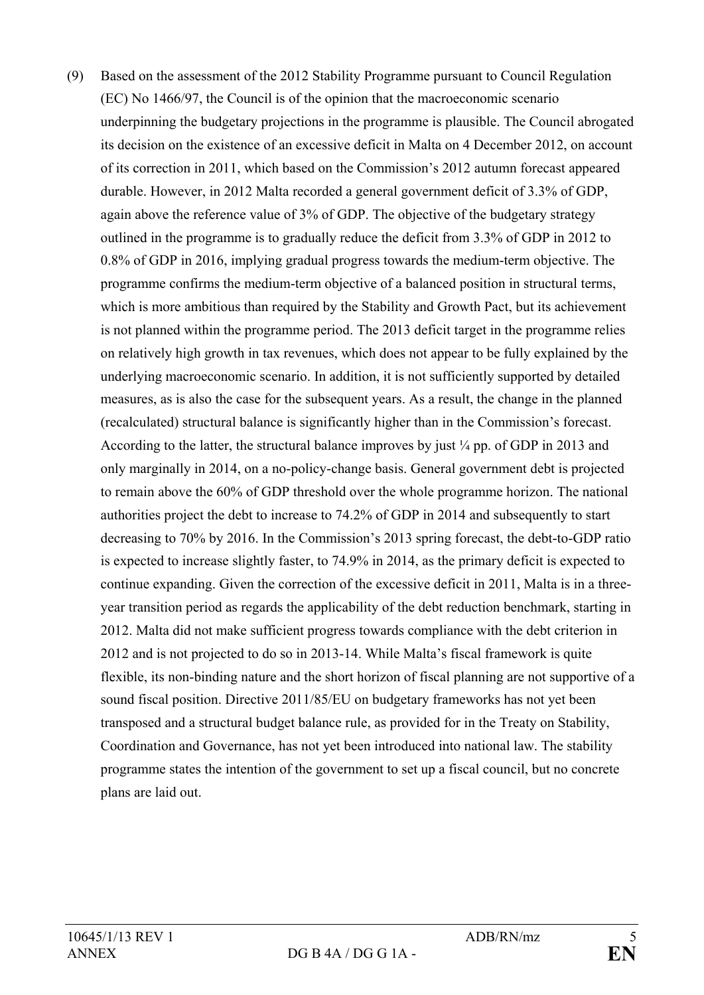(9) Based on the assessment of the 2012 Stability Programme pursuant to Council Regulation (EC) No 1466/97, the Council is of the opinion that the macroeconomic scenario underpinning the budgetary projections in the programme is plausible. The Council abrogated its decision on the existence of an excessive deficit in Malta on 4 December 2012, on account of its correction in 2011, which based on the Commission's 2012 autumn forecast appeared durable. However, in 2012 Malta recorded a general government deficit of 3.3% of GDP, again above the reference value of 3% of GDP. The objective of the budgetary strategy outlined in the programme is to gradually reduce the deficit from 3.3% of GDP in 2012 to 0.8% of GDP in 2016, implying gradual progress towards the medium-term objective. The programme confirms the medium-term objective of a balanced position in structural terms, which is more ambitious than required by the Stability and Growth Pact, but its achievement is not planned within the programme period. The 2013 deficit target in the programme relies on relatively high growth in tax revenues, which does not appear to be fully explained by the underlying macroeconomic scenario. In addition, it is not sufficiently supported by detailed measures, as is also the case for the subsequent years. As a result, the change in the planned (recalculated) structural balance is significantly higher than in the Commission's forecast. According to the latter, the structural balance improves by just ¼ pp. of GDP in 2013 and only marginally in 2014, on a no-policy-change basis. General government debt is projected to remain above the 60% of GDP threshold over the whole programme horizon. The national authorities project the debt to increase to 74.2% of GDP in 2014 and subsequently to start decreasing to 70% by 2016. In the Commission's 2013 spring forecast, the debt-to-GDP ratio is expected to increase slightly faster, to 74.9% in 2014, as the primary deficit is expected to continue expanding. Given the correction of the excessive deficit in 2011, Malta is in a threeyear transition period as regards the applicability of the debt reduction benchmark, starting in 2012. Malta did not make sufficient progress towards compliance with the debt criterion in 2012 and is not projected to do so in 2013-14. While Malta's fiscal framework is quite flexible, its non-binding nature and the short horizon of fiscal planning are not supportive of a sound fiscal position. Directive 2011/85/EU on budgetary frameworks has not yet been transposed and a structural budget balance rule, as provided for in the Treaty on Stability, Coordination and Governance, has not yet been introduced into national law. The stability programme states the intention of the government to set up a fiscal council, but no concrete plans are laid out.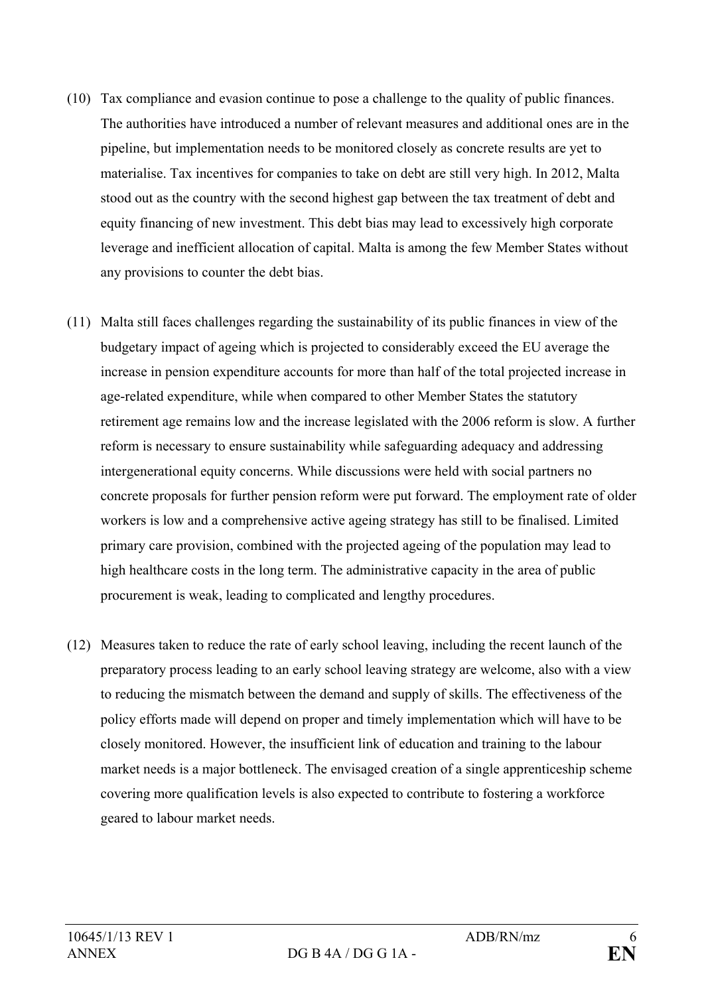- (10) Tax compliance and evasion continue to pose a challenge to the quality of public finances. The authorities have introduced a number of relevant measures and additional ones are in the pipeline, but implementation needs to be monitored closely as concrete results are yet to materialise. Tax incentives for companies to take on debt are still very high. In 2012, Malta stood out as the country with the second highest gap between the tax treatment of debt and equity financing of new investment. This debt bias may lead to excessively high corporate leverage and inefficient allocation of capital. Malta is among the few Member States without any provisions to counter the debt bias.
- (11) Malta still faces challenges regarding the sustainability of its public finances in view of the budgetary impact of ageing which is projected to considerably exceed the EU average the increase in pension expenditure accounts for more than half of the total projected increase in age-related expenditure, while when compared to other Member States the statutory retirement age remains low and the increase legislated with the 2006 reform is slow. A further reform is necessary to ensure sustainability while safeguarding adequacy and addressing intergenerational equity concerns. While discussions were held with social partners no concrete proposals for further pension reform were put forward. The employment rate of older workers is low and a comprehensive active ageing strategy has still to be finalised. Limited primary care provision, combined with the projected ageing of the population may lead to high healthcare costs in the long term. The administrative capacity in the area of public procurement is weak, leading to complicated and lengthy procedures.
- (12) Measures taken to reduce the rate of early school leaving, including the recent launch of the preparatory process leading to an early school leaving strategy are welcome, also with a view to reducing the mismatch between the demand and supply of skills. The effectiveness of the policy efforts made will depend on proper and timely implementation which will have to be closely monitored. However, the insufficient link of education and training to the labour market needs is a major bottleneck. The envisaged creation of a single apprenticeship scheme covering more qualification levels is also expected to contribute to fostering a workforce geared to labour market needs.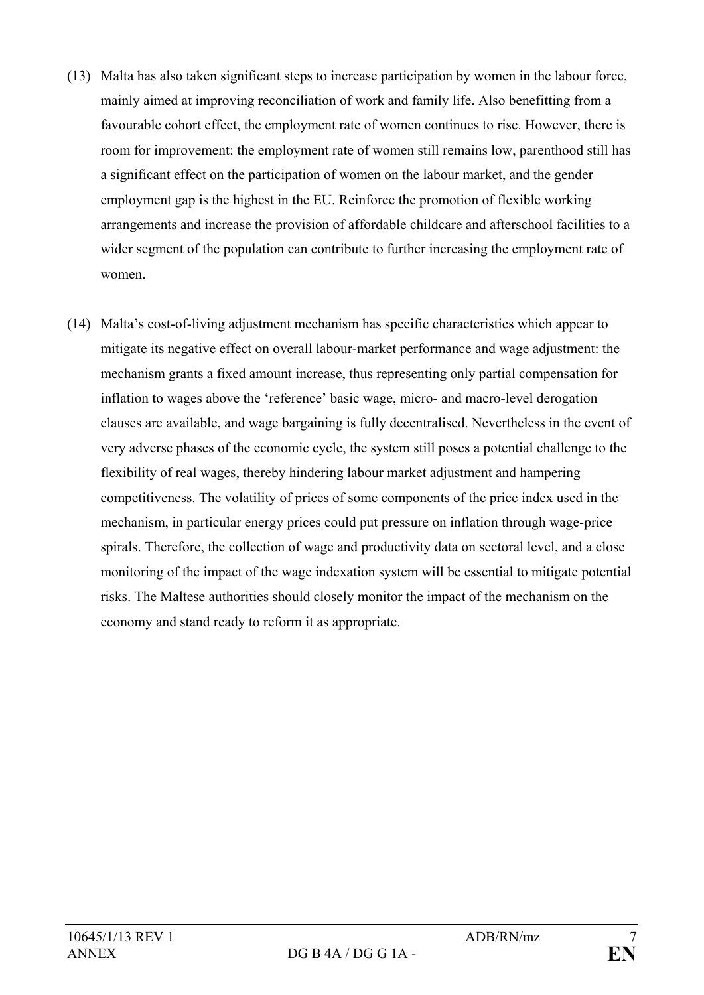- (13) Malta has also taken significant steps to increase participation by women in the labour force, mainly aimed at improving reconciliation of work and family life. Also benefitting from a favourable cohort effect, the employment rate of women continues to rise. However, there is room for improvement: the employment rate of women still remains low, parenthood still has a significant effect on the participation of women on the labour market, and the gender employment gap is the highest in the EU. Reinforce the promotion of flexible working arrangements and increase the provision of affordable childcare and afterschool facilities to a wider segment of the population can contribute to further increasing the employment rate of women.
- (14) Malta's cost-of-living adjustment mechanism has specific characteristics which appear to mitigate its negative effect on overall labour-market performance and wage adjustment: the mechanism grants a fixed amount increase, thus representing only partial compensation for inflation to wages above the 'reference' basic wage, micro- and macro-level derogation clauses are available, and wage bargaining is fully decentralised. Nevertheless in the event of very adverse phases of the economic cycle, the system still poses a potential challenge to the flexibility of real wages, thereby hindering labour market adjustment and hampering competitiveness. The volatility of prices of some components of the price index used in the mechanism, in particular energy prices could put pressure on inflation through wage-price spirals. Therefore, the collection of wage and productivity data on sectoral level, and a close monitoring of the impact of the wage indexation system will be essential to mitigate potential risks. The Maltese authorities should closely monitor the impact of the mechanism on the economy and stand ready to reform it as appropriate.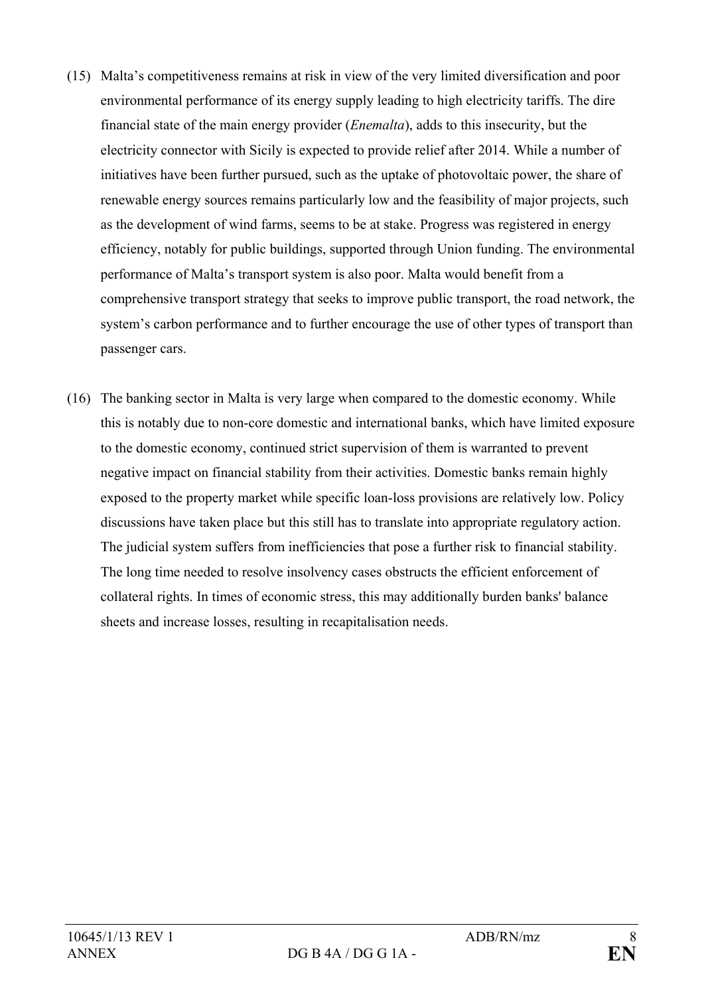- (15) Malta's competitiveness remains at risk in view of the very limited diversification and poor environmental performance of its energy supply leading to high electricity tariffs. The dire financial state of the main energy provider (*Enemalta*), adds to this insecurity, but the electricity connector with Sicily is expected to provide relief after 2014. While a number of initiatives have been further pursued, such as the uptake of photovoltaic power, the share of renewable energy sources remains particularly low and the feasibility of major projects, such as the development of wind farms, seems to be at stake. Progress was registered in energy efficiency, notably for public buildings, supported through Union funding. The environmental performance of Malta's transport system is also poor. Malta would benefit from a comprehensive transport strategy that seeks to improve public transport, the road network, the system's carbon performance and to further encourage the use of other types of transport than passenger cars.
- (16) The banking sector in Malta is very large when compared to the domestic economy. While this is notably due to non-core domestic and international banks, which have limited exposure to the domestic economy, continued strict supervision of them is warranted to prevent negative impact on financial stability from their activities. Domestic banks remain highly exposed to the property market while specific loan-loss provisions are relatively low. Policy discussions have taken place but this still has to translate into appropriate regulatory action. The judicial system suffers from inefficiencies that pose a further risk to financial stability. The long time needed to resolve insolvency cases obstructs the efficient enforcement of collateral rights. In times of economic stress, this may additionally burden banks' balance sheets and increase losses, resulting in recapitalisation needs.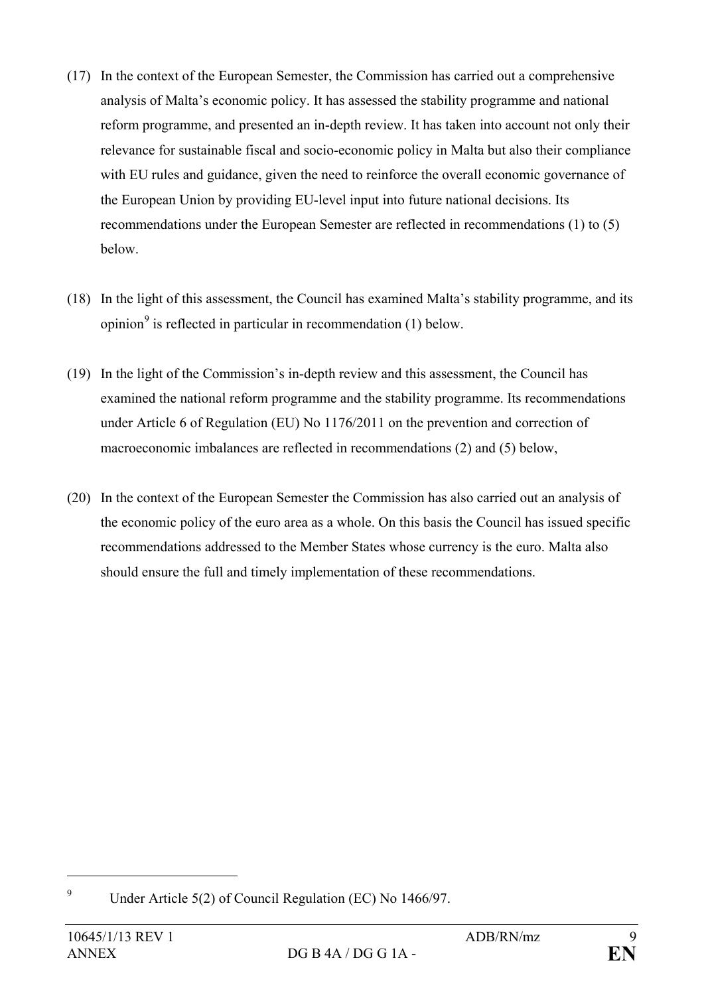- (17) In the context of the European Semester, the Commission has carried out a comprehensive analysis of Malta's economic policy. It has assessed the stability programme and national reform programme, and presented an in-depth review. It has taken into account not only their relevance for sustainable fiscal and socio-economic policy in Malta but also their compliance with EU rules and guidance, given the need to reinforce the overall economic governance of the European Union by providing EU-level input into future national decisions. Its recommendations under the European Semester are reflected in recommendations (1) to (5) below.
- (18) In the light of this assessment, the Council has examined Malta's stability programme, and its opinion<sup>[9](#page-8-0)</sup> is reflected in particular in recommendation  $(1)$  below.
- (19) In the light of the Commission's in-depth review and this assessment, the Council has examined the national reform programme and the stability programme. Its recommendations under Article 6 of Regulation (EU) No 1176/2011 on the prevention and correction of macroeconomic imbalances are reflected in recommendations (2) and (5) below,
- (20) In the context of the European Semester the Commission has also carried out an analysis of the economic policy of the euro area as a whole. On this basis the Council has issued specific recommendations addressed to the Member States whose currency is the euro. Malta also should ensure the full and timely implementation of these recommendations.

<span id="page-8-0"></span><sup>9</sup> Under Article 5(2) of Council Regulation (EC) No 1466/97.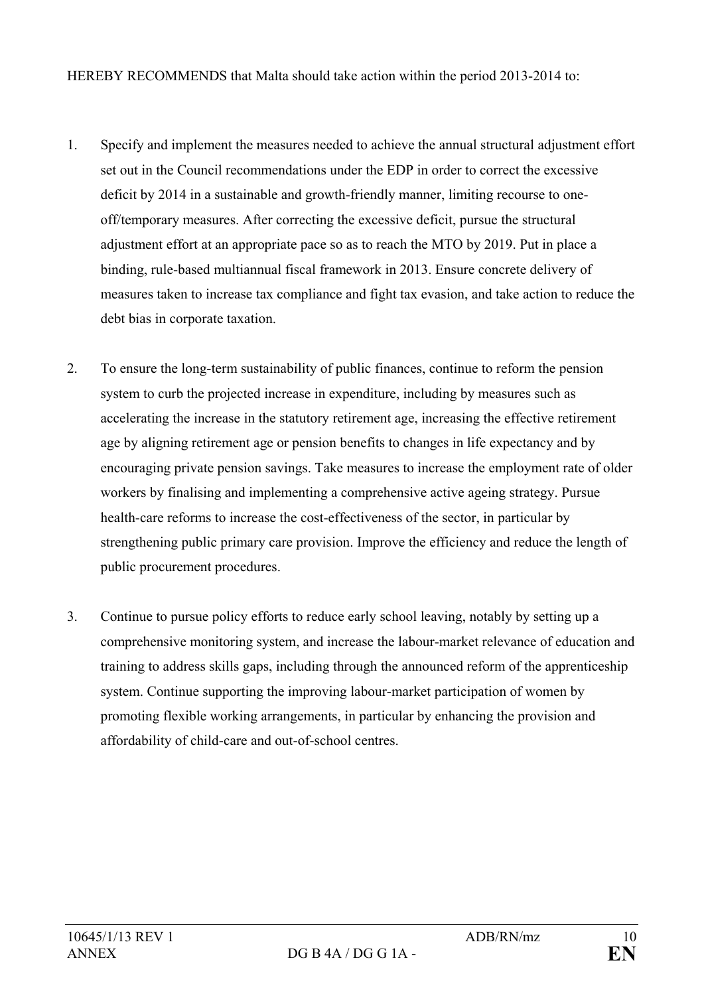HEREBY RECOMMENDS that Malta should take action within the period 2013-2014 to:

- 1. Specify and implement the measures needed to achieve the annual structural adjustment effort set out in the Council recommendations under the EDP in order to correct the excessive deficit by 2014 in a sustainable and growth-friendly manner, limiting recourse to oneoff/temporary measures. After correcting the excessive deficit, pursue the structural adjustment effort at an appropriate pace so as to reach the MTO by 2019. Put in place a binding, rule-based multiannual fiscal framework in 2013. Ensure concrete delivery of measures taken to increase tax compliance and fight tax evasion, and take action to reduce the debt bias in corporate taxation.
- 2. To ensure the long-term sustainability of public finances, continue to reform the pension system to curb the projected increase in expenditure, including by measures such as accelerating the increase in the statutory retirement age, increasing the effective retirement age by aligning retirement age or pension benefits to changes in life expectancy and by encouraging private pension savings. Take measures to increase the employment rate of older workers by finalising and implementing a comprehensive active ageing strategy. Pursue health-care reforms to increase the cost-effectiveness of the sector, in particular by strengthening public primary care provision. Improve the efficiency and reduce the length of public procurement procedures.
- 3. Continue to pursue policy efforts to reduce early school leaving, notably by setting up a comprehensive monitoring system, and increase the labour-market relevance of education and training to address skills gaps, including through the announced reform of the apprenticeship system. Continue supporting the improving labour-market participation of women by promoting flexible working arrangements, in particular by enhancing the provision and affordability of child-care and out-of-school centres.